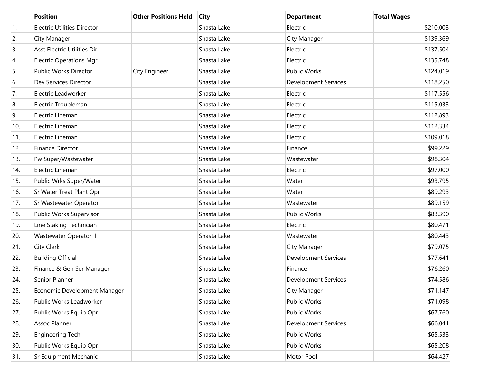|     | <b>Position</b>                    | <b>Other Positions Held</b> | <b>City</b> | <b>Department</b>           | <b>Total Wages</b> |
|-----|------------------------------------|-----------------------------|-------------|-----------------------------|--------------------|
| 1.  | <b>Electric Utilities Director</b> |                             | Shasta Lake | Electric                    | \$210,003          |
| 2.  | City Manager                       |                             | Shasta Lake | City Manager                | \$139,369          |
| 3.  | Asst Electric Utilities Dir        |                             | Shasta Lake | Electric                    | \$137,504          |
| 4.  | <b>Electric Operations Mgr</b>     |                             | Shasta Lake | Electric                    | \$135,748          |
| 5.  | Public Works Director              | City Engineer               | Shasta Lake | <b>Public Works</b>         | \$124,019          |
| 6.  | Dev Services Director              |                             | Shasta Lake | <b>Development Services</b> | \$118,250          |
| 7.  | Electric Leadworker                |                             | Shasta Lake | Electric                    | \$117,556          |
| 8.  | Electric Troubleman                |                             | Shasta Lake | Electric                    | \$115,033          |
| 9.  | Electric Lineman                   |                             | Shasta Lake | Electric                    | \$112,893          |
| 10. | Electric Lineman                   |                             | Shasta Lake | Electric                    | \$112,334          |
| 11. | Electric Lineman                   |                             | Shasta Lake | Electric                    | \$109,018          |
| 12. | <b>Finance Director</b>            |                             | Shasta Lake | Finance                     | \$99,229           |
| 13. | Pw Super/Wastewater                |                             | Shasta Lake | Wastewater                  | \$98,304           |
| 14. | Electric Lineman                   |                             | Shasta Lake | Electric                    | \$97,000           |
| 15. | Public Wrks Super/Water            |                             | Shasta Lake | Water                       | \$93,795           |
| 16. | Sr Water Treat Plant Opr           |                             | Shasta Lake | Water                       | \$89,293           |
| 17. | Sr Wastewater Operator             |                             | Shasta Lake | Wastewater                  | \$89,159           |
| 18. | Public Works Supervisor            |                             | Shasta Lake | <b>Public Works</b>         | \$83,390           |
| 19. | Line Staking Technician            |                             | Shasta Lake | Electric                    | \$80,471           |
| 20. | Wastewater Operator II             |                             | Shasta Lake | Wastewater                  | \$80,443           |
| 21. | City Clerk                         |                             | Shasta Lake | City Manager                | \$79,075           |
| 22. | <b>Building Official</b>           |                             | Shasta Lake | <b>Development Services</b> | \$77,641           |
| 23. | Finance & Gen Ser Manager          |                             | Shasta Lake | Finance                     | \$76,260           |
| 24. | Senior Planner                     |                             | Shasta Lake | <b>Development Services</b> | \$74,586           |
| 25. | Economic Development Manager       |                             | Shasta Lake | City Manager                | \$71,147           |
| 26. | Public Works Leadworker            |                             | Shasta Lake | Public Works                | \$71,098           |
| 27. | Public Works Equip Opr             |                             | Shasta Lake | Public Works                | \$67,760           |
| 28. | Assoc Planner                      |                             | Shasta Lake | <b>Development Services</b> | \$66,041           |
| 29. | <b>Engineering Tech</b>            |                             | Shasta Lake | Public Works                | \$65,533           |
| 30. | Public Works Equip Opr             |                             | Shasta Lake | Public Works                | \$65,208           |
| 31. | Sr Equipment Mechanic              |                             | Shasta Lake | Motor Pool                  | \$64,427           |